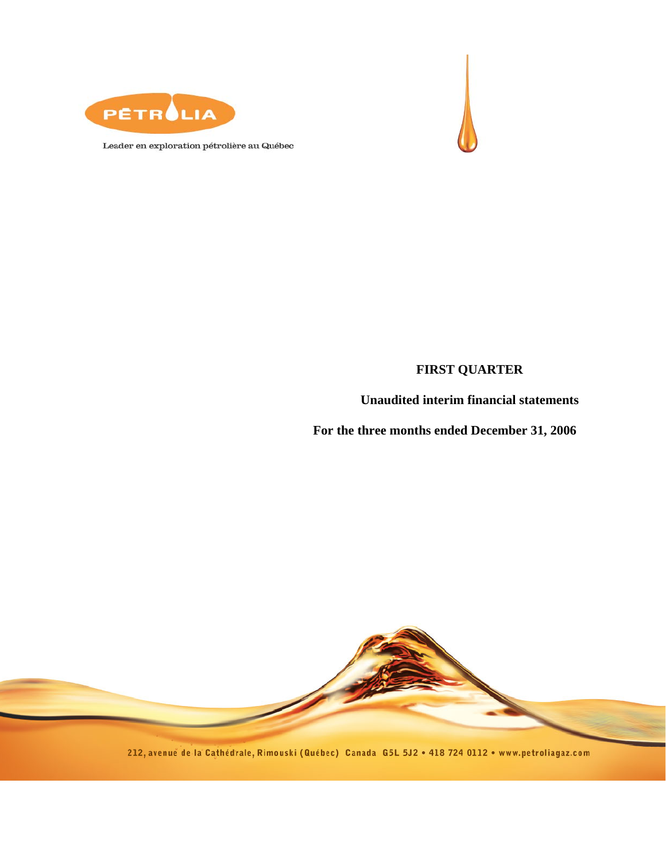



Leader en exploration pétrolière au Québec

## **FIRST QUARTER**

### **Unaudited interim financial statements**

**For the three months ended December 31, 2006** 



212, avenue de la Cathédrale, Rimouski (Québec) Canada G5L 5J2 . 418 724 0112 . www.petroliagaz.com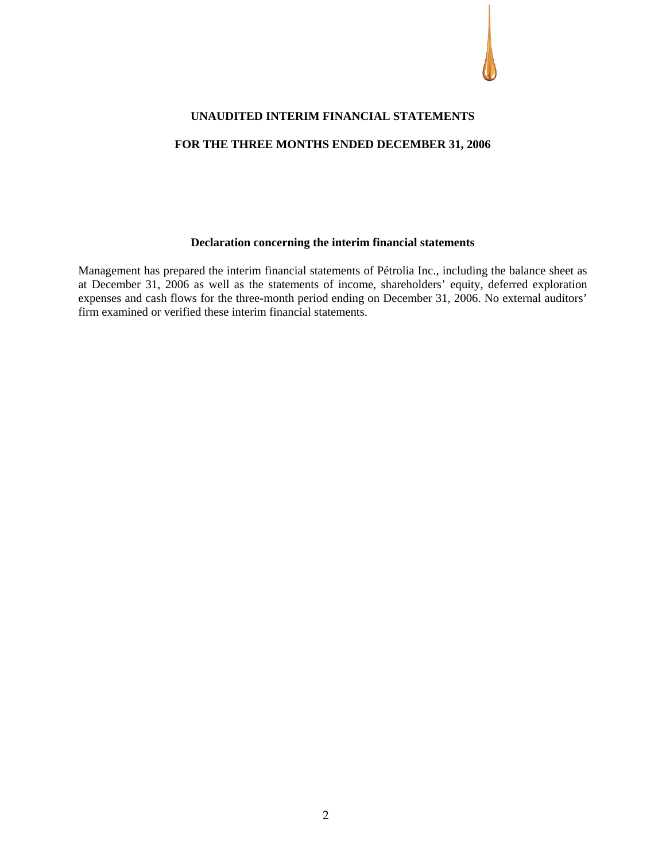

#### **UNAUDITED INTERIM FINANCIAL STATEMENTS**

### **FOR THE THREE MONTHS ENDED DECEMBER 31, 2006**

#### **Declaration concerning the interim financial statements**

Management has prepared the interim financial statements of Pétrolia Inc., including the balance sheet as at December 31, 2006 as well as the statements of income, shareholders' equity, deferred exploration expenses and cash flows for the three-month period ending on December 31, 2006. No external auditors' firm examined or verified these interim financial statements.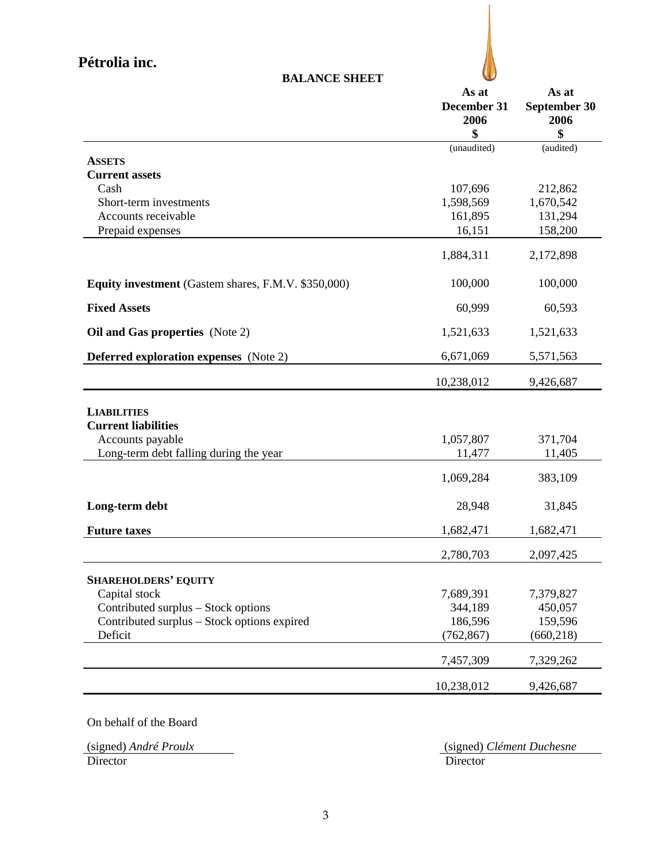| j | at |  |
|---|----|--|

|                                                            | As at<br>December 31<br>2006 | As at<br>September 30<br>2006 |
|------------------------------------------------------------|------------------------------|-------------------------------|
|                                                            | \$                           | \$                            |
|                                                            | (unaudited)                  | (audited)                     |
| <b>ASSETS</b><br><b>Current assets</b>                     |                              |                               |
| Cash                                                       | 107,696                      | 212,862                       |
| Short-term investments                                     | 1,598,569                    | 1,670,542                     |
| Accounts receivable                                        | 161,895                      | 131,294                       |
| Prepaid expenses                                           | 16,151                       | 158,200                       |
|                                                            | 1,884,311                    | 2,172,898                     |
| <b>Equity investment</b> (Gastem shares, F.M.V. \$350,000) | 100,000                      | 100,000                       |
| <b>Fixed Assets</b>                                        | 60,999                       | 60,593                        |
| Oil and Gas properties (Note 2)                            | 1,521,633                    | 1,521,633                     |
| <b>Deferred exploration expenses</b> (Note 2)              | 6,671,069                    | 5,571,563                     |
|                                                            | 10,238,012                   | 9,426,687                     |
| <b>LIABILITIES</b>                                         |                              |                               |
| <b>Current liabilities</b>                                 |                              |                               |
| Accounts payable                                           | 1,057,807                    | 371,704                       |
| Long-term debt falling during the year                     | 11,477                       | 11,405                        |
|                                                            | 1,069,284                    | 383,109                       |
| Long-term debt                                             | 28,948                       | 31,845                        |
| <b>Future taxes</b>                                        | 1,682,471                    | 1,682,471                     |
|                                                            | 2,780,703                    | 2,097,425                     |
| <b>SHAREHOLDERS' EQUITY</b>                                |                              |                               |
| Capital stock                                              | 7,689,391                    | 7,379,827                     |
| Contributed surplus - Stock options                        | 344,189                      | 450,057                       |
| Contributed surplus – Stock options expired                | 186,596                      | 159,596                       |
| Deficit                                                    | (762, 867)                   | (660, 218)                    |
|                                                            | 7,457,309                    | 7,329,262                     |
|                                                            | 10,238,012                   | 9,426,687                     |

**BALANCE SHEET** 

On behalf of the Board

(signed) *André Proulx* (signed) *Clément Duchesne* **Director**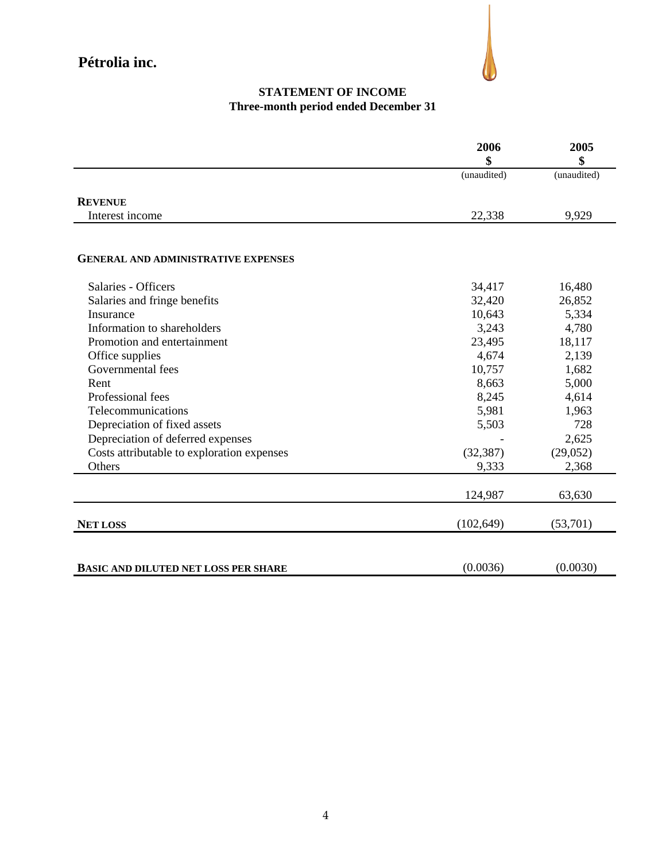

### **STATEMENT OF INCOME Three-month period ended December 31**

|                                             | 2006<br>\$  | 2005<br>\$  |
|---------------------------------------------|-------------|-------------|
|                                             | (unaudited) | (unaudited) |
| <b>REVENUE</b>                              |             |             |
| Interest income                             | 22,338      | 9,929       |
|                                             |             |             |
| <b>GENERAL AND ADMINISTRATIVE EXPENSES</b>  |             |             |
| Salaries - Officers                         | 34,417      | 16,480      |
| Salaries and fringe benefits                | 32,420      | 26,852      |
| Insurance                                   | 10,643      | 5,334       |
| Information to shareholders                 | 3,243       | 4,780       |
| Promotion and entertainment                 | 23,495      | 18,117      |
| Office supplies                             | 4,674       | 2,139       |
| Governmental fees                           | 10,757      | 1,682       |
| Rent                                        | 8,663       | 5,000       |
| Professional fees                           | 8,245       | 4,614       |
| Telecommunications                          | 5,981       | 1,963       |
| Depreciation of fixed assets                | 5,503       | 728         |
| Depreciation of deferred expenses           |             | 2,625       |
| Costs attributable to exploration expenses  | (32, 387)   | (29,052)    |
| Others                                      | 9,333       | 2,368       |
|                                             | 124,987     | 63,630      |
| <b>NET LOSS</b>                             | (102, 649)  | (53,701)    |
| <b>BASIC AND DILUTED NET LOSS PER SHARE</b> | (0.0036)    | (0.0030)    |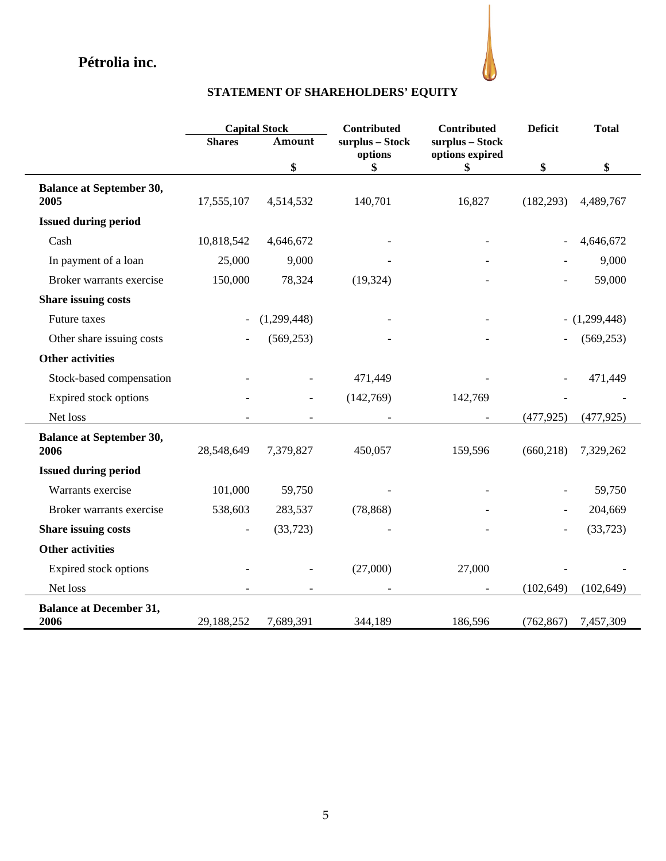

# **STATEMENT OF SHAREHOLDERS' EQUITY**

|                                         |               | <b>Capital Stock</b> | Contributed                | Contributed                        | <b>Deficit</b> | <b>Total</b>    |
|-----------------------------------------|---------------|----------------------|----------------------------|------------------------------------|----------------|-----------------|
|                                         | <b>Shares</b> | Amount               | surplus - Stock<br>options | surplus - Stock<br>options expired |                |                 |
|                                         |               | \$                   | \$                         | \$                                 | \$             | \$              |
| <b>Balance at September 30,</b>         |               |                      |                            |                                    |                |                 |
| 2005                                    | 17,555,107    | 4,514,532            | 140,701                    | 16,827                             | (182, 293)     | 4,489,767       |
| <b>Issued during period</b>             |               |                      |                            |                                    |                |                 |
| Cash                                    | 10,818,542    | 4,646,672            |                            |                                    |                | 4,646,672       |
| In payment of a loan                    | 25,000        | 9,000                |                            |                                    |                | 9,000           |
| Broker warrants exercise                | 150,000       | 78,324               | (19, 324)                  |                                    |                | 59,000          |
| Share issuing costs                     |               |                      |                            |                                    |                |                 |
| Future taxes                            |               | (1,299,448)          |                            |                                    |                | $- (1,299,448)$ |
| Other share issuing costs               |               | (569, 253)           |                            |                                    |                | (569, 253)      |
| <b>Other activities</b>                 |               |                      |                            |                                    |                |                 |
| Stock-based compensation                |               |                      | 471,449                    |                                    |                | 471,449         |
| Expired stock options                   |               |                      | (142,769)                  | 142,769                            |                |                 |
| Net loss                                |               |                      |                            |                                    | (477, 925)     | (477, 925)      |
| <b>Balance at September 30,</b><br>2006 | 28,548,649    | 7,379,827            | 450,057                    | 159,596                            | (660, 218)     | 7,329,262       |
| <b>Issued during period</b>             |               |                      |                            |                                    |                |                 |
| Warrants exercise                       | 101,000       | 59,750               |                            |                                    |                | 59,750          |
| Broker warrants exercise                | 538,603       | 283,537              | (78, 868)                  |                                    |                | 204,669         |
| <b>Share issuing costs</b>              |               | (33,723)             |                            |                                    |                | (33, 723)       |
| <b>Other activities</b>                 |               |                      |                            |                                    |                |                 |
| Expired stock options                   |               |                      | (27,000)                   | 27,000                             |                |                 |
| Net loss                                |               |                      |                            | $\overline{\phantom{a}}$           | (102, 649)     | (102, 649)      |
| <b>Balance at December 31,</b><br>2006  | 29,188,252    | 7,689,391            | 344,189                    | 186,596                            | (762, 867)     | 7,457,309       |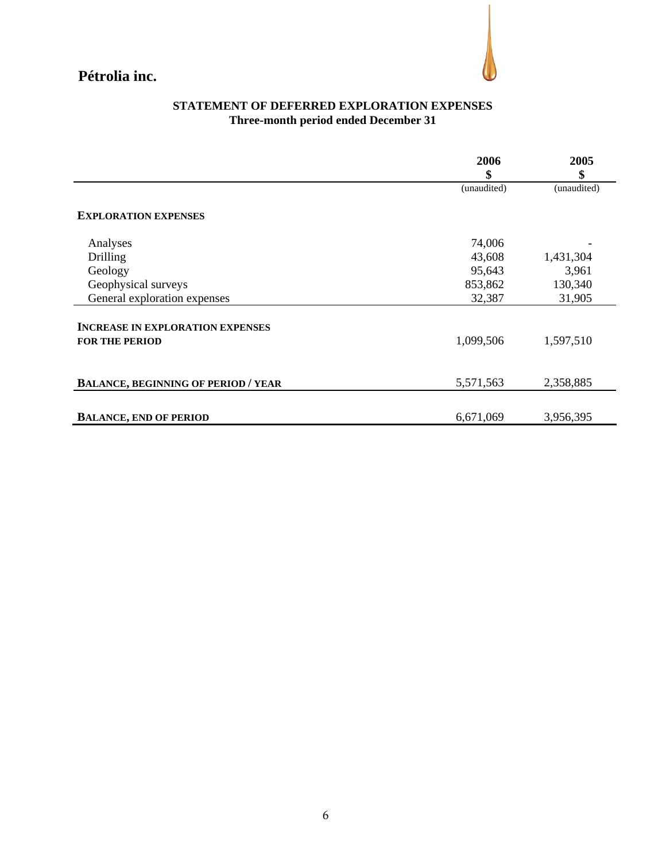

### **STATEMENT OF DEFERRED EXPLORATION EXPENSES Three-month period ended December 31**

|                                            | 2006        | 2005        |
|--------------------------------------------|-------------|-------------|
|                                            | \$          | \$          |
|                                            | (unaudited) | (unaudited) |
| <b>EXPLORATION EXPENSES</b>                |             |             |
| Analyses                                   | 74,006      |             |
| Drilling                                   | 43,608      | 1,431,304   |
| Geology                                    | 95,643      | 3,961       |
| Geophysical surveys                        | 853,862     | 130,340     |
| General exploration expenses               | 32,387      | 31,905      |
| <b>INCREASE IN EXPLORATION EXPENSES</b>    |             |             |
| <b>FOR THE PERIOD</b>                      | 1,099,506   | 1,597,510   |
| <b>BALANCE, BEGINNING OF PERIOD / YEAR</b> | 5,571,563   | 2,358,885   |
|                                            |             |             |
| <b>BALANCE, END OF PERIOD</b>              | 6,671,069   | 3,956,395   |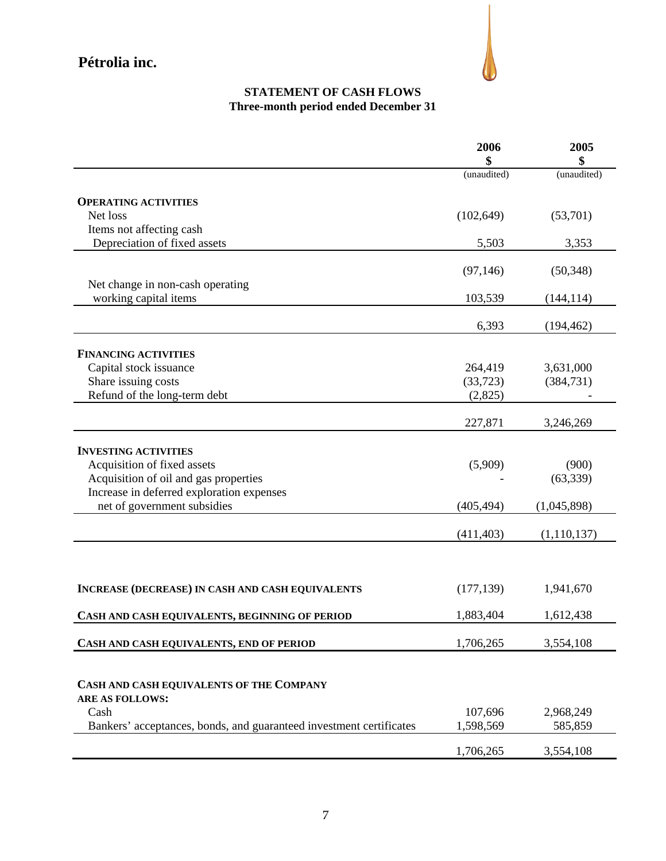

## **STATEMENT OF CASH FLOWS Three-month period ended December 31**

|                                                                     | 2006<br>\$  | 2005<br>\$    |
|---------------------------------------------------------------------|-------------|---------------|
|                                                                     | (unaudited) | (unaudited)   |
| <b>OPERATING ACTIVITIES</b>                                         |             |               |
| Net loss                                                            | (102, 649)  | (53,701)      |
| Items not affecting cash                                            |             |               |
| Depreciation of fixed assets                                        | 5,503       | 3,353         |
|                                                                     |             |               |
|                                                                     | (97, 146)   | (50, 348)     |
| Net change in non-cash operating                                    |             |               |
| working capital items                                               | 103,539     | (144, 114)    |
|                                                                     | 6,393       | (194, 462)    |
| <b>FINANCING ACTIVITIES</b>                                         |             |               |
| Capital stock issuance                                              | 264,419     | 3,631,000     |
| Share issuing costs                                                 | (33, 723)   | (384, 731)    |
| Refund of the long-term debt                                        | (2,825)     |               |
|                                                                     |             |               |
|                                                                     | 227,871     | 3,246,269     |
|                                                                     |             |               |
| <b>INVESTING ACTIVITIES</b>                                         |             |               |
| Acquisition of fixed assets                                         | (5,909)     | (900)         |
| Acquisition of oil and gas properties                               |             | (63, 339)     |
| Increase in deferred exploration expenses                           |             |               |
| net of government subsidies                                         | (405, 494)  | (1,045,898)   |
|                                                                     | (411, 403)  | (1, 110, 137) |
|                                                                     |             |               |
|                                                                     |             |               |
| <b>INCREASE (DECREASE) IN CASH AND CASH EQUIVALENTS</b>             | (177, 139)  | 1,941,670     |
| CASH AND CASH EQUIVALENTS, BEGINNING OF PERIOD                      | 1,883,404   | 1,612,438     |
| CASH AND CASH EQUIVALENTS, END OF PERIOD                            | 1,706,265   | 3,554,108     |
|                                                                     |             |               |
| CASH AND CASH EQUIVALENTS OF THE COMPANY                            |             |               |
| <b>ARE AS FOLLOWS:</b>                                              |             |               |
| Cash                                                                | 107,696     | 2,968,249     |
| Bankers' acceptances, bonds, and guaranteed investment certificates | 1,598,569   | 585,859       |
|                                                                     |             |               |
|                                                                     | 1,706,265   | 3,554,108     |